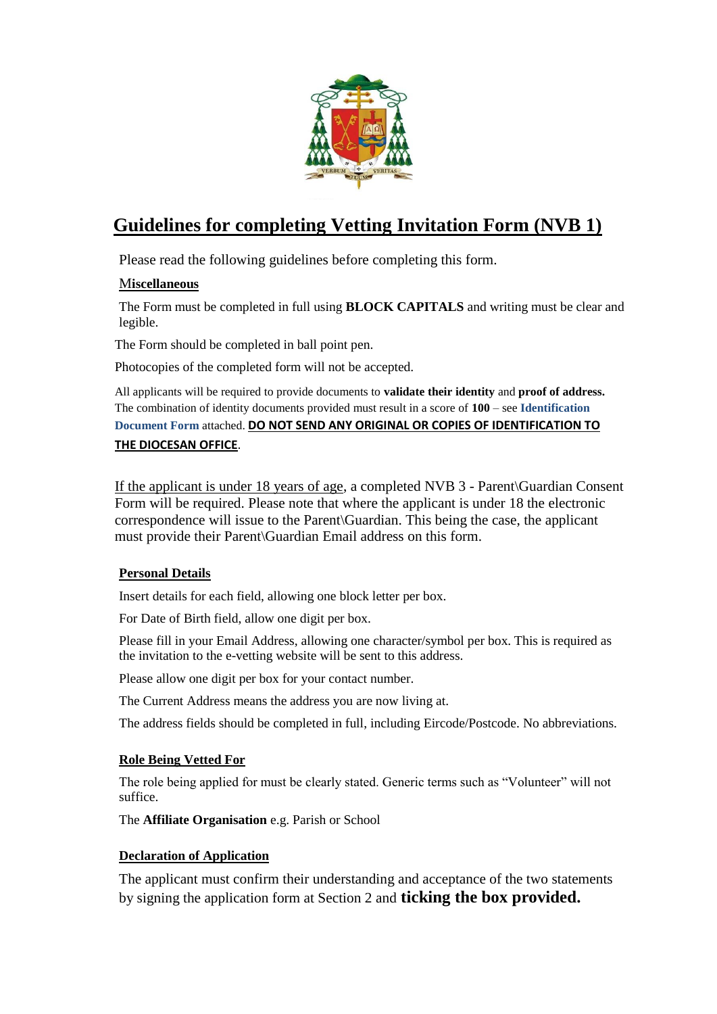

## **Guidelines for completing Vetting Invitation Form (NVB 1)**

Please read the following guidelines before completing this form.

### M**iscellaneous**

The Form must be completed in full using **BLOCK CAPITALS** and writing must be clear and legible.

The Form should be completed in ball point pen.

Photocopies of the completed form will not be accepted.

All applicants will be required to provide documents to **validate their identity** and **proof of address.** The combination of identity documents provided must result in a score of **100** – see **Identification Document Form** attached. **DO NOT SEND ANY ORIGINAL OR COPIES OF IDENTIFICATION TO THE DIOCESAN OFFICE**.

If the applicant is under 18 years of age, a completed NVB 3 - Parent\Guardian Consent Form will be required. Please note that where the applicant is under 18 the electronic correspondence will issue to the Parent\Guardian. This being the case, the applicant must provide their Parent\Guardian Email address on this form.

### **Personal Details**

Insert details for each field, allowing one block letter per box.

For Date of Birth field, allow one digit per box.

Please fill in your Email Address, allowing one character/symbol per box. This is required as the invitation to the e-vetting website will be sent to this address.

Please allow one digit per box for your contact number.

The Current Address means the address you are now living at.

The address fields should be completed in full, including Eircode/Postcode. No abbreviations.

### **Role Being Vetted For**

The role being applied for must be clearly stated. Generic terms such as "Volunteer" will not suffice.

The **Affiliate Organisation** e.g. Parish or School

### **Declaration of Application**

The applicant must confirm their understanding and acceptance of the two statements by signing the application form at Section 2 and **ticking the box provided.**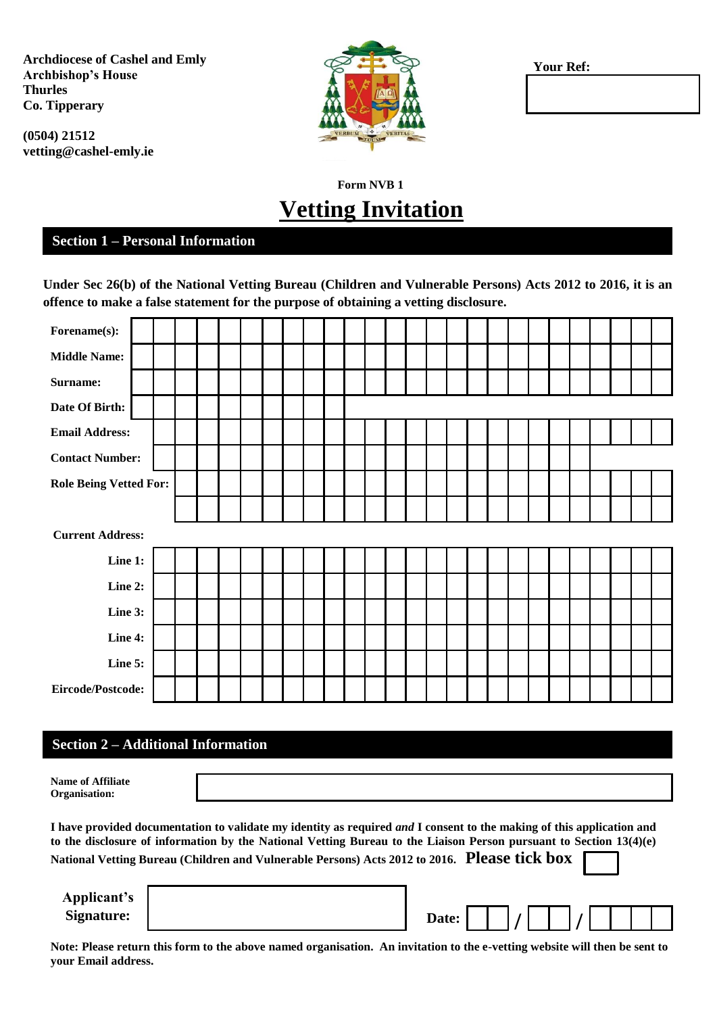**Archdiocese of Cashel and Emly Archbishop's House Thurles Co. Tipperary**

**(0504) 21512 vetting@cashel-emly.ie**



**Your Ref:**

# **Form NVB 1 Vetting Invitation**

### **Section 1 – Personal Information**

**Under Sec 26(b) of the National Vetting Bureau (Children and Vulnerable Persons) Acts 2012 to 2016, it is an offence to make a false statement for the purpose of obtaining a vetting disclosure.**

| Forename(s):                  |                         |  |  |  |  |  |  |  |  |  |  |  |  |  |  |  |  |  |  |  |
|-------------------------------|-------------------------|--|--|--|--|--|--|--|--|--|--|--|--|--|--|--|--|--|--|--|
| <b>Middle Name:</b>           |                         |  |  |  |  |  |  |  |  |  |  |  |  |  |  |  |  |  |  |  |
| Surname:                      |                         |  |  |  |  |  |  |  |  |  |  |  |  |  |  |  |  |  |  |  |
| Date Of Birth:                |                         |  |  |  |  |  |  |  |  |  |  |  |  |  |  |  |  |  |  |  |
| <b>Email Address:</b>         |                         |  |  |  |  |  |  |  |  |  |  |  |  |  |  |  |  |  |  |  |
| <b>Contact Number:</b>        |                         |  |  |  |  |  |  |  |  |  |  |  |  |  |  |  |  |  |  |  |
| <b>Role Being Vetted For:</b> |                         |  |  |  |  |  |  |  |  |  |  |  |  |  |  |  |  |  |  |  |
|                               |                         |  |  |  |  |  |  |  |  |  |  |  |  |  |  |  |  |  |  |  |
|                               | <b>Current Address:</b> |  |  |  |  |  |  |  |  |  |  |  |  |  |  |  |  |  |  |  |
| Line 1:                       |                         |  |  |  |  |  |  |  |  |  |  |  |  |  |  |  |  |  |  |  |
| Line 2:                       |                         |  |  |  |  |  |  |  |  |  |  |  |  |  |  |  |  |  |  |  |
| Line 3:                       |                         |  |  |  |  |  |  |  |  |  |  |  |  |  |  |  |  |  |  |  |
| Line 4:                       |                         |  |  |  |  |  |  |  |  |  |  |  |  |  |  |  |  |  |  |  |
| Line 5:                       |                         |  |  |  |  |  |  |  |  |  |  |  |  |  |  |  |  |  |  |  |
| Eircode/Postcode:             |                         |  |  |  |  |  |  |  |  |  |  |  |  |  |  |  |  |  |  |  |

#### **Section 2 – Additional Information**

**Name of Affiliate Organisation:**

**I have provided documentation to validate my identity as required** *and* **I consent to the making of this application and to the disclosure of information by the National Vetting Bureau to the Liaison Person pursuant to Section 13(4)(e) National Vetting Bureau (Children and Vulnerable Persons) Acts 2012 to 2016. Please tick box** 

**Applicant's**

| $\rightarrow \gamma \gamma \gamma \gamma \gamma \gamma \gamma \gamma \gamma$ |       |  |  |  |  |
|------------------------------------------------------------------------------|-------|--|--|--|--|
| Signature:                                                                   | Date: |  |  |  |  |
|                                                                              |       |  |  |  |  |

**Note: Please return this form to the above named organisation. An invitation to the e-vetting website will then be sent to your Email address.**